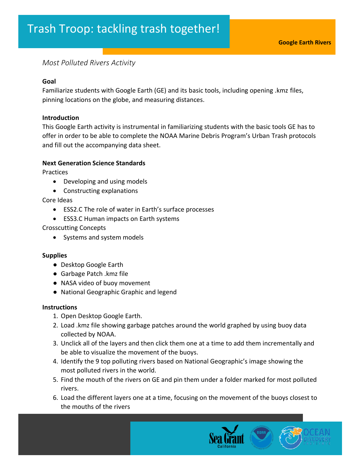# *Most Polluted Rivers Activity*

### **Goal**

Familiarize students with Google Earth (GE) and its basic tools, including opening .kmz files, pinning locations on the globe, and measuring distances.

### **Introduction**

This Google Earth activity is instrumental in familiarizing students with the basic tools GE has to offer in order to be able to complete the NOAA Marine Debris Program's Urban Trash protocols and fill out the accompanying data sheet.

### **Next Generation Science Standards**

**Practices** 

- Developing and using models
- Constructing explanations

Core Ideas

- ESS2.C The role of water in Earth's surface processes
- ESS3.C Human impacts on Earth systems

Crosscutting Concepts

• Systems and system models

### **Supplies**

- Desktop Google Earth
- Garbage Patch .kmz file
- NASA video of buoy movement
- National Geographic Graphic and legend

### **Instructions**

- 1. Open Desktop Google Earth.
- 2. Load .kmz file showing garbage patches around the world graphed by using buoy data collected by NOAA.
- 3. Unclick all of the layers and then click them one at a time to add them incrementally and be able to visualize the movement of the buoys.
- 4. Identify the 9 top polluting rivers based on National Geographic's image showing the most polluted rivers in the world.
- 5. Find the mouth of the rivers on GE and pin them under a folder marked for most polluted rivers.
- 6. Load the different layers one at a time, focusing on the movement of the buoys closest to the mouths of the rivers

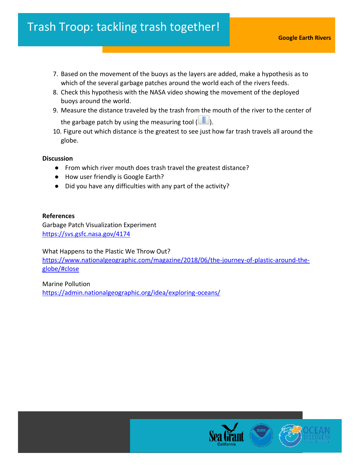- 7. Based on the movement of the buoys as the layers are added, make a hypothesis as to which of the several garbage patches around the world each of the rivers feeds.
- 8. Check this hypothesis with the NASA video showing the movement of the deployed buoys around the world.
- 9. Measure the distance traveled by the trash from the mouth of the river to the center of the garbage patch by using the measuring tool  $(\Box)$ .
- 10. Figure out which distance is the greatest to see just how far trash travels all around the globe.

## **Discussion**

- From which river mouth does trash travel the greatest distance?
- How user friendly is Google Earth?
- Did you have any difficulties with any part of the activity?

## **References**

Garbage Patch Visualization Experiment <https://svs.gsfc.nasa.gov/4174>

What Happens to the Plastic We Throw Out? [https://www.nationalgeographic.com/magazine/2018/06/the-journey-of-plastic-around-the](https://www.nationalgeographic.com/magazine/2018/06/the-journey-of-plastic-around-the-globe/#close)[globe/#close](https://www.nationalgeographic.com/magazine/2018/06/the-journey-of-plastic-around-the-globe/#close)

Marine Pollution <https://admin.nationalgeographic.org/idea/exploring-oceans/>

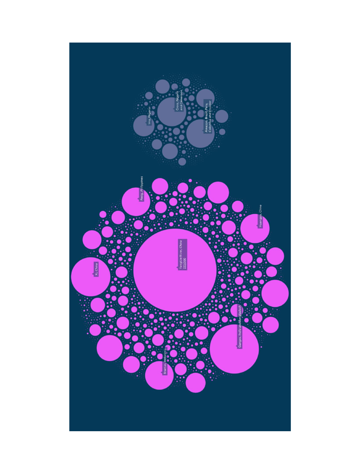